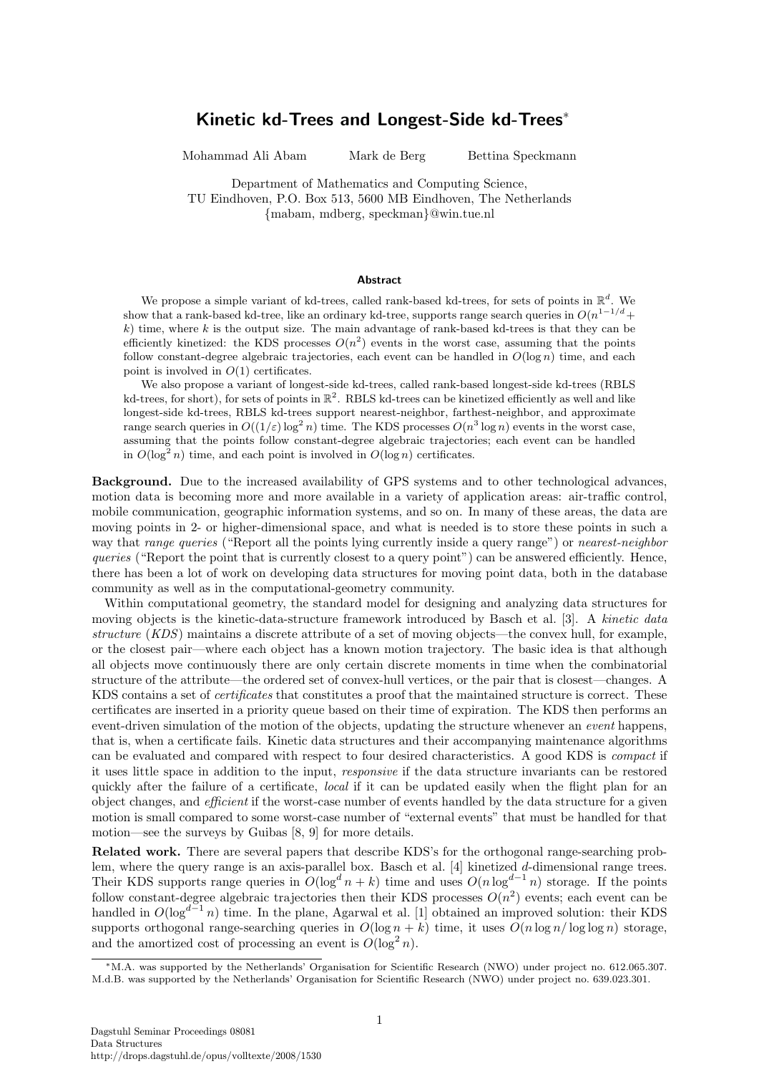# Kinetic kd-Trees and Longest-Side kd-Trees<sup>∗</sup>

Mohammad Ali Abam Mark de Berg Bettina Speckmann

Department of Mathematics and Computing Science, TU Eindhoven, P.O. Box 513, 5600 MB Eindhoven, The Netherlands {mabam, mdberg, speckman}@win.tue.nl

### Abstract

We propose a simple variant of kd-trees, called rank-based kd-trees, for sets of points in  $\mathbb{R}^d$ . We show that a rank-based kd-tree, like an ordinary kd-tree, supports range search queries in  $O(n^{1-1/d} +$  $k$ ) time, where k is the output size. The main advantage of rank-based kd-trees is that they can be efficiently kinetized: the KDS processes  $O(n^2)$  events in the worst case, assuming that the points follow constant-degree algebraic trajectories, each event can be handled in  $O(\log n)$  time, and each point is involved in  $O(1)$  certificates.

We also propose a variant of longest-side kd-trees, called rank-based longest-side kd-trees (RBLS kd-trees, for short), for sets of points in  $\mathbb{R}^2$ . RBLS kd-trees can be kinetized efficiently as well and like longest-side kd-trees, RBLS kd-trees support nearest-neighbor, farthest-neighbor, and approximate range search queries in  $O((1/\varepsilon)\log^2 n)$  time. The KDS processes  $O(n^3 \log n)$  events in the worst case, assuming that the points follow constant-degree algebraic trajectories; each event can be handled in  $O(\log^2 n)$  time, and each point is involved in  $O(\log n)$  certificates.

Background. Due to the increased availability of GPS systems and to other technological advances, motion data is becoming more and more available in a variety of application areas: air-traffic control, mobile communication, geographic information systems, and so on. In many of these areas, the data are moving points in 2- or higher-dimensional space, and what is needed is to store these points in such a way that range queries ("Report all the points lying currently inside a query range") or nearest-neighbor queries ("Report the point that is currently closest to a query point") can be answered efficiently. Hence, there has been a lot of work on developing data structures for moving point data, both in the database community as well as in the computational-geometry community.

Within computational geometry, the standard model for designing and analyzing data structures for moving objects is the kinetic-data-structure framework introduced by Basch et al. [3]. A kinetic data structure (KDS) maintains a discrete attribute of a set of moving objects—the convex hull, for example, or the closest pair—where each object has a known motion trajectory. The basic idea is that although all objects move continuously there are only certain discrete moments in time when the combinatorial structure of the attribute—the ordered set of convex-hull vertices, or the pair that is closest—changes. A KDS contains a set of *certificates* that constitutes a proof that the maintained structure is correct. These certificates are inserted in a priority queue based on their time of expiration. The KDS then performs an event-driven simulation of the motion of the objects, updating the structure whenever an event happens, that is, when a certificate fails. Kinetic data structures and their accompanying maintenance algorithms can be evaluated and compared with respect to four desired characteristics. A good KDS is compact if it uses little space in addition to the input, responsive if the data structure invariants can be restored quickly after the failure of a certificate, *local* if it can be updated easily when the flight plan for an object changes, and efficient if the worst-case number of events handled by the data structure for a given motion is small compared to some worst-case number of "external events" that must be handled for that motion—see the surveys by Guibas [8, 9] for more details.

Related work. There are several papers that describe KDS's for the orthogonal range-searching problem, where the query range is an axis-parallel box. Basch et al. [4] kinetized d-dimensional range trees. Their KDS supports range queries in  $O(\log^d n + k)$  time and uses  $O(n \log^{d-1} n)$  storage. If the points follow constant-degree algebraic trajectories then their KDS processes  $O(n^2)$  events; each event can be handled in  $O(\log^{d-1} n)$  time. In the plane, Agarwal et al. [1] obtained an improved solution: their KDS supports orthogonal range-searching queries in  $O(\log n + k)$  time, it uses  $O(n \log n / \log \log n)$  storage, and the amortized cost of processing an event is  $O(\log^2 n)$ .

<sup>∗</sup>M.A. was supported by the Netherlands' Organisation for Scientific Research (NWO) under project no. 612.065.307. M.d.B. was supported by the Netherlands' Organisation for Scientific Research (NWO) under project no. 639.023.301.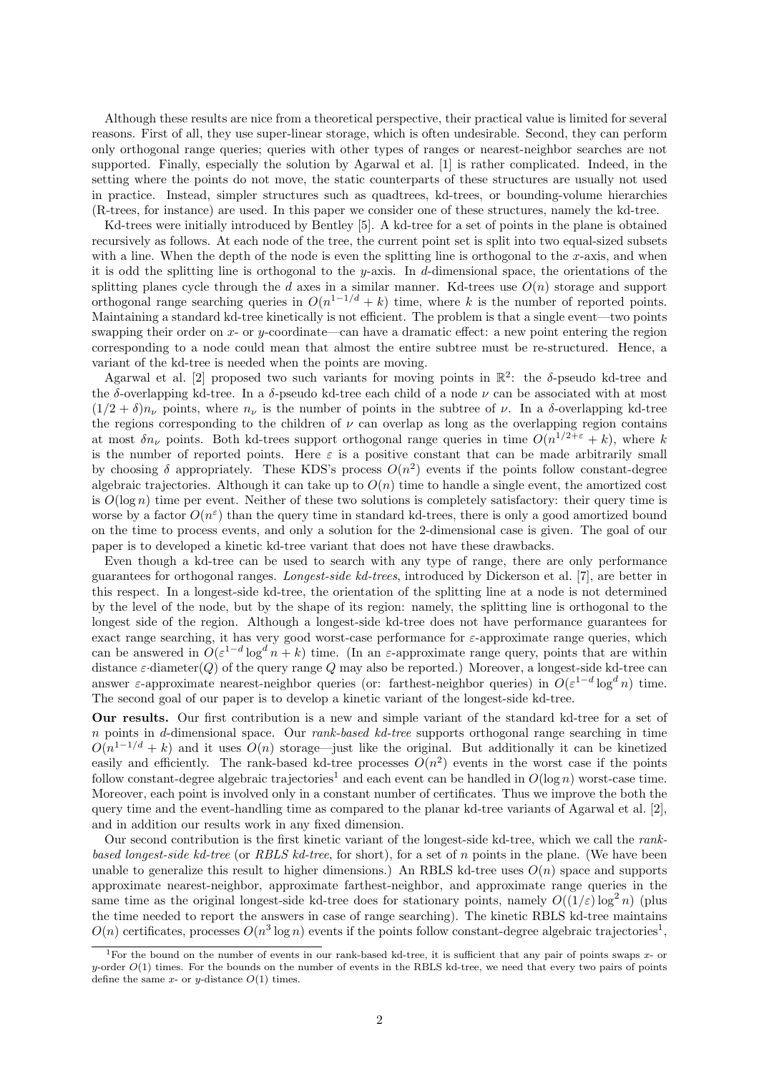Although these results are nice from a theoretical perspective, their practical value is limited for several reasons. First of all, they use super-linear storage, which is often undesirable. Second, they can perform only orthogonal range queries; queries with other types of ranges or nearest-neighbor searches are not supported. Finally, especially the solution by Agarwal et al. [1] is rather complicated. Indeed, in the setting where the points do not move, the static counterparts of these structures are usually not used in practice. Instead, simpler structures such as quadtrees, kd-trees, or bounding-volume hierarchies (R-trees, for instance) are used. In this paper we consider one of these structures, namely the kd-tree.

Kd-trees were initially introduced by Bentley [5]. A kd-tree for a set of points in the plane is obtained recursively as follows. At each node of the tree, the current point set is split into two equal-sized subsets with a line. When the depth of the node is even the splitting line is orthogonal to the  $x$ -axis, and when it is odd the splitting line is orthogonal to the y-axis. In  $d$ -dimensional space, the orientations of the splitting planes cycle through the d axes in a similar manner. Kd-trees use  $O(n)$  storage and support orthogonal range searching queries in  $O(n^{1-1/d} + k)$  time, where k is the number of reported points. Maintaining a standard kd-tree kinetically is not efficient. The problem is that a single event—two points swapping their order on x- or y-coordinate—can have a dramatic effect: a new point entering the region corresponding to a node could mean that almost the entire subtree must be re-structured. Hence, a variant of the kd-tree is needed when the points are moving.

Agarwal et al. [2] proposed two such variants for moving points in  $\mathbb{R}^2$ : the  $\delta$ -pseudo kd-tree and the  $\delta$ -overlapping kd-tree. In a  $\delta$ -pseudo kd-tree each child of a node  $\nu$  can be associated with at most  $(1/2 + \delta)n_{\nu}$  points, where  $n_{\nu}$  is the number of points in the subtree of  $\nu$ . In a δ-overlapping kd-tree the regions corresponding to the children of  $\nu$  can overlap as long as the overlapping region contains at most  $\delta n_{\nu}$  points. Both kd-trees support orthogonal range queries in time  $O(n^{1/2+\epsilon}+k)$ , where k is the number of reported points. Here  $\varepsilon$  is a positive constant that can be made arbitrarily small by choosing  $\delta$  appropriately. These KDS's process  $O(n^2)$  events if the points follow constant-degree algebraic trajectories. Although it can take up to  $O(n)$  time to handle a single event, the amortized cost is  $O(\log n)$  time per event. Neither of these two solutions is completely satisfactory: their query time is worse by a factor  $O(n^{\epsilon})$  than the query time in standard kd-trees, there is only a good amortized bound on the time to process events, and only a solution for the 2-dimensional case is given. The goal of our paper is to developed a kinetic kd-tree variant that does not have these drawbacks.

Even though a kd-tree can be used to search with any type of range, there are only performance guarantees for orthogonal ranges. Longest-side kd-trees, introduced by Dickerson et al. [7], are better in this respect. In a longest-side kd-tree, the orientation of the splitting line at a node is not determined by the level of the node, but by the shape of its region: namely, the splitting line is orthogonal to the longest side of the region. Although a longest-side kd-tree does not have performance guarantees for exact range searching, it has very good worst-case performance for  $\varepsilon$ -approximate range queries, which can be answered in  $O(\varepsilon^{1-d} \log^d n + k)$  time. (In an  $\varepsilon$ -approximate range query, points that are within distance  $\varepsilon$ ·diameter(Q) of the query range Q may also be reported.) Moreover, a longest-side kd-tree can answer  $\varepsilon$ -approximate nearest-neighbor queries (or: farthest-neighbor queries) in  $O(\varepsilon^{1-d} \log^d n)$  time. The second goal of our paper is to develop a kinetic variant of the longest-side kd-tree.

Our results. Our first contribution is a new and simple variant of the standard kd-tree for a set of n points in d-dimensional space. Our rank-based kd-tree supports orthogonal range searching in time  $O(n^{1-1/d} + k)$  and it uses  $O(n)$  storage—just like the original. But additionally it can be kinetized easily and efficiently. The rank-based kd-tree processes  $O(n^2)$  events in the worst case if the points follow constant-degree algebraic trajectories<sup>1</sup> and each event can be handled in  $O(\log n)$  worst-case time. Moreover, each point is involved only in a constant number of certificates. Thus we improve the both the query time and the event-handling time as compared to the planar kd-tree variants of Agarwal et al. [2], and in addition our results work in any fixed dimension.

Our second contribution is the first kinetic variant of the longest-side kd-tree, which we call the rankbased longest-side kd-tree (or RBLS kd-tree, for short), for a set of n points in the plane. (We have been unable to generalize this result to higher dimensions.) An RBLS kd-tree uses  $O(n)$  space and supports approximate nearest-neighbor, approximate farthest-neighbor, and approximate range queries in the same time as the original longest-side kd-tree does for stationary points, namely  $O((1/\varepsilon) \log^2 n)$  (plus the time needed to report the answers in case of range searching). The kinetic RBLS kd-tree maintains  $O(n)$  certificates, processes  $O(n^3 \log n)$  events if the points follow constant-degree algebraic trajectories<sup>1</sup>,

<sup>&</sup>lt;sup>1</sup>For the bound on the number of events in our rank-based kd-tree, it is sufficient that any pair of points swaps  $x$ - or y-order  $O(1)$  times. For the bounds on the number of events in the RBLS kd-tree, we need that every two pairs of points define the same x- or y-distance  $O(1)$  times.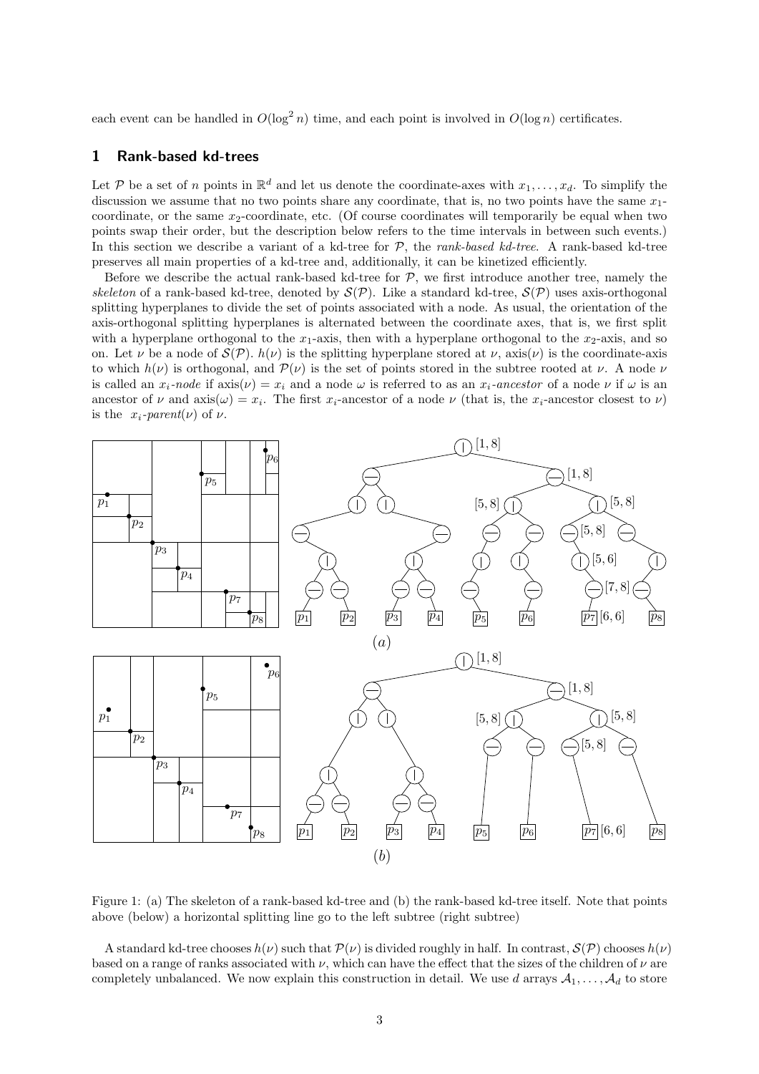each event can be handled in  $O(\log^2 n)$  time, and each point is involved in  $O(\log n)$  certificates.

# 1 Rank-based kd-trees

Let P be a set of n points in  $\mathbb{R}^d$  and let us denote the coordinate-axes with  $x_1, \ldots, x_d$ . To simplify the discussion we assume that no two points share any coordinate, that is, no two points have the same  $x_1$ coordinate, or the same  $x_2$ -coordinate, etc. (Of course coordinates will temporarily be equal when two points swap their order, but the description below refers to the time intervals in between such events.) In this section we describe a variant of a kd-tree for  $P$ , the *rank-based kd-tree*. A rank-based kd-tree preserves all main properties of a kd-tree and, additionally, it can be kinetized efficiently.

Before we describe the actual rank-based kd-tree for  $P$ , we first introduce another tree, namely the skeleton of a rank-based kd-tree, denoted by  $S(\mathcal{P})$ . Like a standard kd-tree,  $S(\mathcal{P})$  uses axis-orthogonal splitting hyperplanes to divide the set of points associated with a node. As usual, the orientation of the axis-orthogonal splitting hyperplanes is alternated between the coordinate axes, that is, we first split with a hyperplane orthogonal to the  $x_1$ -axis, then with a hyperplane orthogonal to the  $x_2$ -axis, and so on. Let  $\nu$  be a node of  $S(\mathcal{P})$ .  $h(\nu)$  is the splitting hyperplane stored at  $\nu$ , axis $(\nu)$  is the coordinate-axis to which  $h(\nu)$  is orthogonal, and  $\mathcal{P}(\nu)$  is the set of points stored in the subtree rooted at  $\nu$ . A node  $\nu$ is called an  $x_i$ -node if  $axis(\nu) = x_i$  and a node  $\omega$  is referred to as an  $x_i$ -ancestor of a node  $\nu$  if  $\omega$  is an ancestor of  $\nu$  and  $axis(\omega) = x_i$ . The first  $x_i$ -ancestor of a node  $\nu$  (that is, the  $x_i$ -ancestor closest to  $\nu$ ) is the  $x_i$ -parent( $\nu$ ) of  $\nu$ .



Figure 1: (a) The skeleton of a rank-based kd-tree and (b) the rank-based kd-tree itself. Note that points above (below) a horizontal splitting line go to the left subtree (right subtree)

A standard kd-tree chooses  $h(\nu)$  such that  $\mathcal{P}(\nu)$  is divided roughly in half. In contrast,  $\mathcal{S}(\mathcal{P})$  chooses  $h(\nu)$ based on a range of ranks associated with  $\nu$ , which can have the effect that the sizes of the children of  $\nu$  are completely unbalanced. We now explain this construction in detail. We use d arrays  $A_1, \ldots, A_d$  to store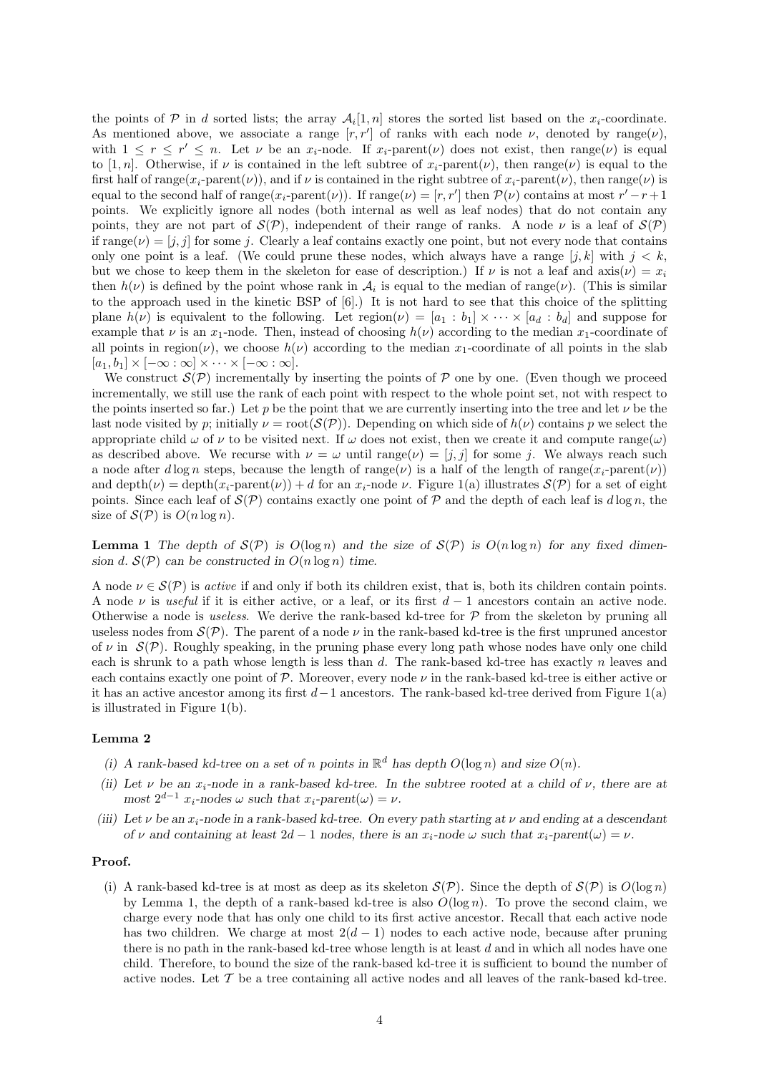the points of  $P$  in d sorted lists; the array  $A_i[1,n]$  stores the sorted list based on the  $x_i$ -coordinate. As mentioned above, we associate a range  $[r, r']$  of ranks with each node  $\nu$ , denoted by range $(\nu)$ , with  $1 \leq r \leq r' \leq n$ . Let  $\nu$  be an  $x_i$ -node. If  $x_i$ -parent $(\nu)$  does not exist, then range $(\nu)$  is equal to [1, n]. Otherwise, if  $\nu$  is contained in the left subtree of  $x_i$ -parent $(\nu)$ , then range $(\nu)$  is equal to the first half of range $(x_i$ -parent $(\nu)$ , and if  $\nu$  is contained in the right subtree of  $x_i$ -parent $(\nu)$ , then range $(\nu)$  is equal to the second half of range $(x_i$ -parent $(\nu)$ ). If range $(\nu) = [r, r']$  then  $\mathcal{P}(\nu)$  contains at most  $r' - r + 1$ points. We explicitly ignore all nodes (both internal as well as leaf nodes) that do not contain any points, they are not part of  $S(\mathcal{P})$ , independent of their range of ranks. A node  $\nu$  is a leaf of  $S(\mathcal{P})$ if range( $\nu$ ) = [j, j] for some j. Clearly a leaf contains exactly one point, but not every node that contains only one point is a leaf. (We could prune these nodes, which always have a range  $[j, k]$  with  $j < k$ , but we chose to keep them in the skeleton for ease of description.) If  $\nu$  is not a leaf and  $axis(\nu) = x_i$ then  $h(\nu)$  is defined by the point whose rank in  $\mathcal{A}_i$  is equal to the median of range $(\nu)$ . (This is similar to the approach used in the kinetic BSP of [6].) It is not hard to see that this choice of the splitting plane  $h(\nu)$  is equivalent to the following. Let region $(\nu) = [a_1 : b_1] \times \cdots \times [a_d : b_d]$  and suppose for example that  $\nu$  is an  $x_1$ -node. Then, instead of choosing  $h(\nu)$  according to the median  $x_1$ -coordinate of all points in region( $\nu$ ), we choose  $h(\nu)$  according to the median x<sub>1</sub>-coordinate of all points in the slab  $[a_1, b_1] \times [-\infty : \infty] \times \cdots \times [-\infty : \infty].$ 

We construct  $\mathcal{S}(\mathcal{P})$  incrementally by inserting the points of  $\mathcal P$  one by one. (Even though we proceed incrementally, we still use the rank of each point with respect to the whole point set, not with respect to the points inserted so far.) Let p be the point that we are currently inserting into the tree and let  $\nu$  be the last node visited by p; initially  $\nu = \text{root}(\mathcal{S}(\mathcal{P}))$ . Depending on which side of  $h(\nu)$  contains p we select the appropriate child  $\omega$  of  $\nu$  to be visited next. If  $\omega$  does not exist, then we create it and compute range( $\omega$ ) as described above. We recurse with  $\nu = \omega$  until range $(\nu) = [i, j]$  for some j. We always reach such a node after  $d \log n$  steps, because the length of range( $\nu$ ) is a half of the length of range( $x_i$ -parent( $\nu$ )) and depth $(\nu) = \text{depth}(x_i-\text{parent}(\nu)) + d$  for an  $x_i-\text{node}(\nu)$ . Figure 1(a) illustrates  $\mathcal{S}(\mathcal{P})$  for a set of eight points. Since each leaf of  $\mathcal{S}(\mathcal{P})$  contains exactly one point of  $\mathcal{P}$  and the depth of each leaf is  $d \log n$ , the size of  $\mathcal{S}(\mathcal{P})$  is  $O(n \log n)$ .

**Lemma 1** The depth of  $\mathcal{S}(\mathcal{P})$  is  $O(\log n)$  and the size of  $\mathcal{S}(\mathcal{P})$  is  $O(n \log n)$  for any fixed dimension d.  $\mathcal{S}(\mathcal{P})$  can be constructed in  $O(n \log n)$  time.

A node  $\nu \in \mathcal{S}(\mathcal{P})$  is active if and only if both its children exist, that is, both its children contain points. A node  $\nu$  is useful if it is either active, or a leaf, or its first  $d-1$  ancestors contain an active node. Otherwise a node is useless. We derive the rank-based kd-tree for  $P$  from the skeleton by pruning all useless nodes from  $\mathcal{S}(\mathcal{P})$ . The parent of a node  $\nu$  in the rank-based kd-tree is the first unpruned ancestor of  $\nu$  in  $S(\mathcal{P})$ . Roughly speaking, in the pruning phase every long path whose nodes have only one child each is shrunk to a path whose length is less than d. The rank-based kd-tree has exactly n leaves and each contains exactly one point of  $P$ . Moreover, every node  $\nu$  in the rank-based kd-tree is either active or it has an active ancestor among its first  $d-1$  ancestors. The rank-based kd-tree derived from Figure 1(a) is illustrated in Figure 1(b).

#### Lemma 2

- (i) A rank-based kd-tree on a set of n points in  $\mathbb{R}^d$  has depth  $O(\log n)$  and size  $O(n)$ .
- (ii) Let  $\nu$  be an  $x_i$ -node in a rank-based kd-tree. In the subtree rooted at a child of  $\nu$ , there are at most  $2^{d-1}$   $x_i$ -nodes  $\omega$  such that  $x_i$ -parent $(\omega) = \nu$ .
- (iii) Let  $\nu$  be an  $x_i$ -node in a rank-based kd-tree. On every path starting at  $\nu$  and ending at a descendant of v and containing at least  $2d - 1$  nodes, there is an  $x_i$ -node  $\omega$  such that  $x_i$ -parent $(\omega) = \nu$ .

#### Proof.

(i) A rank-based kd-tree is at most as deep as its skeleton  $\mathcal{S}(\mathcal{P})$ . Since the depth of  $\mathcal{S}(\mathcal{P})$  is  $O(\log n)$ by Lemma 1, the depth of a rank-based kd-tree is also  $O(\log n)$ . To prove the second claim, we charge every node that has only one child to its first active ancestor. Recall that each active node has two children. We charge at most  $2(d-1)$  nodes to each active node, because after pruning there is no path in the rank-based kd-tree whose length is at least d and in which all nodes have one child. Therefore, to bound the size of the rank-based kd-tree it is sufficient to bound the number of active nodes. Let  $\mathcal T$  be a tree containing all active nodes and all leaves of the rank-based kd-tree.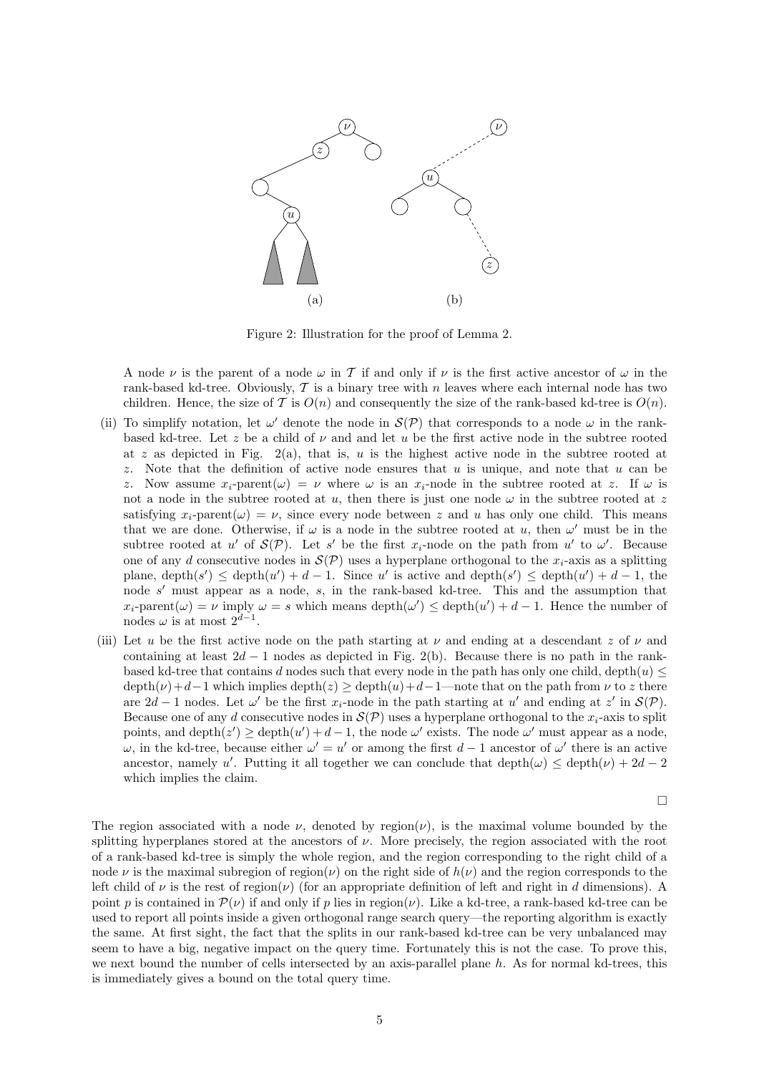

Figure 2: Illustration for the proof of Lemma 2.

A node  $\nu$  is the parent of a node  $\omega$  in T if and only if  $\nu$  is the first active ancestor of  $\omega$  in the rank-based kd-tree. Obviously,  $T$  is a binary tree with n leaves where each internal node has two children. Hence, the size of T is  $O(n)$  and consequently the size of the rank-based kd-tree is  $O(n)$ .

- (ii) To simplify notation, let  $\omega'$  denote the node in  $\mathcal{S}(\mathcal{P})$  that corresponds to a node  $\omega$  in the rankbased kd-tree. Let z be a child of  $\nu$  and and let u be the first active node in the subtree rooted at z as depicted in Fig. 2(a), that is, u is the highest active node in the subtree rooted at z. Note that the definition of active node ensures that u is unique, and note that u can be z. Now assume  $x_i$ -parent $(\omega) = \nu$  where  $\omega$  is an  $x_i$ -node in the subtree rooted at z. If  $\omega$  is not a node in the subtree rooted at u, then there is just one node  $\omega$  in the subtree rooted at z satisfying  $x_i$ -parent $(\omega) = \nu$ , since every node between z and u has only one child. This means that we are done. Otherwise, if  $\omega$  is a node in the subtree rooted at u, then  $\omega'$  must be in the subtree rooted at u' of  $\mathcal{S}(\mathcal{P})$ . Let s' be the first  $x_i$ -node on the path from u' to  $\omega'$ . Because one of any d consecutive nodes in  $\mathcal{S}(\mathcal{P})$  uses a hyperplane orthogonal to the  $x_i$ -axis as a splitting plane,  $\text{depth}(s') \leq \text{depth}(u') + d - 1$ . Since u' is active and  $\text{depth}(s') \leq \text{depth}(u') + d - 1$ , the node s' must appear as a node, s, in the rank-based kd-tree. This and the assumption that  $x_i$ -parent $(\omega) = \nu$  imply  $\omega = s$  which means depth $(\omega') \leq$  depth $(u') + d - 1$ . Hence the number of nodes  $\omega$  is at most  $2^{d-1}$ .
- (iii) Let u be the first active node on the path starting at  $\nu$  and ending at a descendant z of  $\nu$  and containing at least  $2d - 1$  nodes as depicted in Fig. 2(b). Because there is no path in the rankbased kd-tree that contains d nodes such that every node in the path has only one child, depth $(u) \leq$  $\text{depth}(\nu)+d-1$  which implies  $\text{depth}(z) \geq \text{depth}(u)+d-1$ —note that on the path from  $\nu$  to z there are 2d – 1 nodes. Let  $\omega'$  be the first  $x_i$ -node in the path starting at u' and ending at z' in  $\mathcal{S}(\mathcal{P})$ . Because one of any d consecutive nodes in  $\mathcal{S}(\mathcal{P})$  uses a hyperplane orthogonal to the  $x_i$ -axis to split points, and depth $(z') \ge \text{depth}(u') + d - 1$ , the node  $\omega'$  exists. The node  $\omega'$  must appear as a node,  $ω$ , in the kd-tree, because either  $ω' = u'$  or among the first  $d-1$  ancestor of  $ω'$  there is an active ancestor, namely u'. Putting it all together we can conclude that depth $(\omega) \leq$  depth $(\nu) + 2d - 2$ which implies the claim.

$$
\Box
$$

The region associated with a node  $\nu$ , denoted by region( $\nu$ ), is the maximal volume bounded by the splitting hyperplanes stored at the ancestors of  $\nu$ . More precisely, the region associated with the root of a rank-based kd-tree is simply the whole region, and the region corresponding to the right child of a node  $\nu$  is the maximal subregion of region( $\nu$ ) on the right side of  $h(\nu)$  and the region corresponds to the left child of  $\nu$  is the rest of region( $\nu$ ) (for an appropriate definition of left and right in d dimensions). A point p is contained in  $\mathcal{P}(\nu)$  if and only if p lies in region(v). Like a kd-tree, a rank-based kd-tree can be used to report all points inside a given orthogonal range search query—the reporting algorithm is exactly the same. At first sight, the fact that the splits in our rank-based kd-tree can be very unbalanced may seem to have a big, negative impact on the query time. Fortunately this is not the case. To prove this, we next bound the number of cells intersected by an axis-parallel plane  $h$ . As for normal kd-trees, this is immediately gives a bound on the total query time.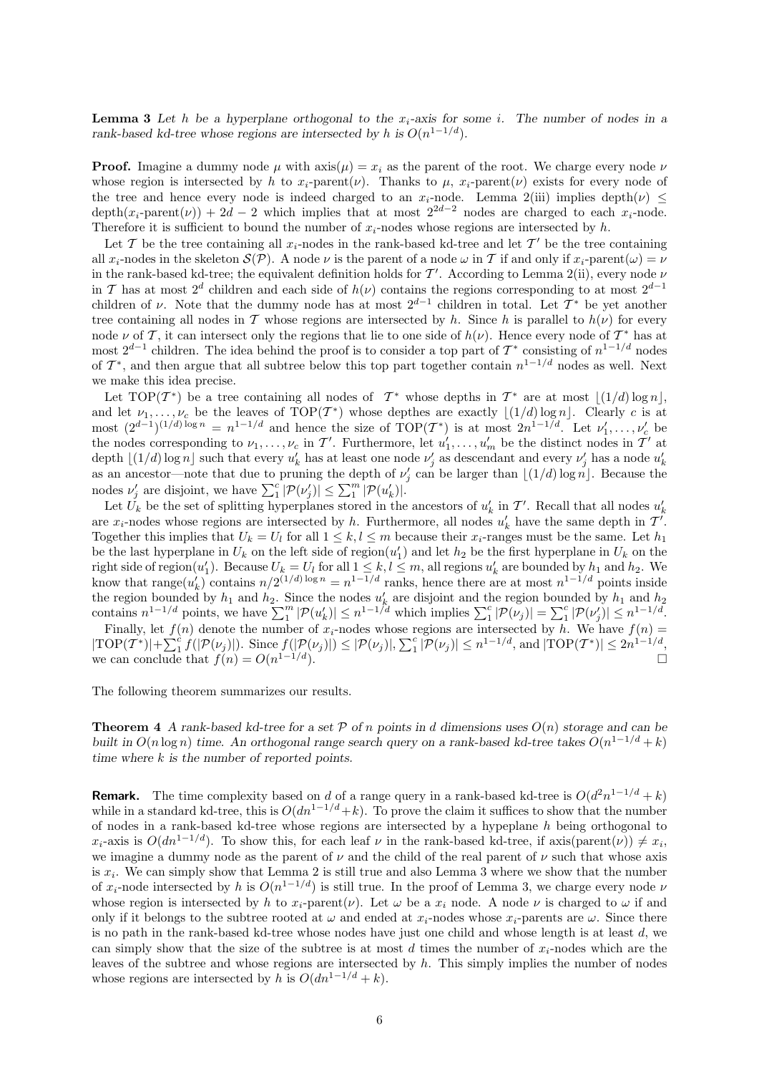**Lemma 3** Let h be a hyperplane orthogonal to the  $x_i$ -axis for some i. The number of nodes in a rank-based kd-tree whose regions are intersected by h is  $O(n^{1-1/d})$ .

**Proof.** Imagine a dummy node  $\mu$  with  $axis(\mu) = x_i$  as the parent of the root. We charge every node  $\nu$ whose region is intersected by h to  $x_i$ -parent $(\nu)$ . Thanks to  $\mu$ ,  $x_i$ -parent $(\nu)$  exists for every node of the tree and hence every node is indeed charged to an  $x_i$ -node. Lemma 2(iii) implies depth $(\nu)$  <  $depth(x_i-parent(\nu)) + 2d - 2$  which implies that at most  $2^{2d-2}$  nodes are charged to each  $x_i$ -node. Therefore it is sufficient to bound the number of  $x_i$ -nodes whose regions are intersected by h.

Let T be the tree containing all  $x_i$ -nodes in the rank-based kd-tree and let T' be the tree containing all  $x_i$ -nodes in the skeleton  $\mathcal{S}(\mathcal{P})$ . A node  $\nu$  is the parent of a node  $\omega$  in T if and only if  $x_i$ -parent $(\omega) = \nu$ in the rank-based kd-tree; the equivalent definition holds for T'. According to Lemma 2(ii), every node  $\nu$ in T has at most  $2^d$  children and each side of  $h(\nu)$  contains the regions corresponding to at most  $2^{d-1}$ children of  $\nu$ . Note that the dummy node has at most  $2^{d-1}$  children in total. Let  $\mathcal{T}^*$  be yet another tree containing all nodes in T whose regions are intersected by h. Since h is parallel to  $h(\nu)$  for every node  $\nu$  of T, it can intersect only the regions that lie to one side of  $h(\nu)$ . Hence every node of T<sup>\*</sup> has at most  $2^{d-1}$  children. The idea behind the proof is to consider a top part of  $\mathcal{T}^*$  consisting of  $n^{1-1/d}$  nodes of  $\mathcal{T}^*$ , and then argue that all subtree below this top part together contain  $n^{1-1/d}$  nodes as well. Next we make this idea precise.

Let TOP( $\mathcal{T}^*$ ) be a tree containing all nodes of  $\mathcal{T}^*$  whose depths in  $\mathcal{T}^*$  are at most  $\lfloor (1/d) \log n \rfloor$ , and let  $\nu_1,\ldots,\nu_c$  be the leaves of  $TOP(\mathcal{T}^*)$  whose depthes are exactly  $\lfloor (1/d) \log n \rfloor$ . Clearly c is at most  $(2^{d-1})^{(1/d)\log n} = n^{1-1/d}$  and hence the size of  $TOP(\mathcal{T}^*)$  is at most  $2n^{1-1/d}$ . Let  $\nu'_1, \ldots, \nu'_c$  be the nodes corresponding to  $\nu_1, \ldots, \nu_c$  in T'. Furthermore, let  $u'_1, \ldots, u'_m$  be the distinct nodes in T' at depth  $\lfloor(1/d)\log n\rfloor$  such that every  $u'_k$  has at least one node  $\nu'_j$  as descendant and every  $\nu'_j$  has a node  $u'_k$ as an ancestor—note that due to pruning the depth of  $\nu'_j$  can be larger than  $\lfloor (1/d) \log n \rfloor$ . Because the nodes  $\nu'_j$  are disjoint, we have  $\sum_1^c |\mathcal{P}(\nu'_j)| \leq \sum_1^m |\mathcal{P}(u'_k)|$ .

Let  $U_k$  be the set of splitting hyperplanes stored in the ancestors of  $u'_k$  in  $\mathcal{T}'$ . Recall that all nodes  $u'_k$ are  $x_i$ -nodes whose regions are intersected by h. Furthermore, all nodes  $u'_k$  have the same depth in  $\mathcal{T}'$ . Together this implies that  $U_k = U_l$  for all  $1 \leq k, l \leq m$  because their  $x_i$ -ranges must be the same. Let  $h_1$ be the last hyperplane in  $U_k$  on the left side of region( $u'_1$ ) and let  $h_2$  be the first hyperplane in  $U_k$  on the right side of region $(u'_1)$ . Because  $U_k = U_l$  for all  $1 \leq k, l \leq m$ , all regions  $u'_k$  are bounded by  $h_1$  and  $h_2$ . We know that  $\text{range}(u'_k)$  contains  $n/2^{(1/d)\log n} = n^{1-1/d}$  ranks, hence there are at most  $n^{1-1/d}$  points inside the region bounded by  $h_1$  and  $h_2$ . Since the nodes  $u'_k$  are disjoint and the region bounded by  $h_1$  and  $h_2$ contains  $n^{1-1/d}$  points, we have  $\sum_{1}^{m} |\mathcal{P}(u_k)| \leq n^{1-1/d}$  which implies  $\sum_{1}^{c} |\mathcal{P}(v_j)| = \sum_{1}^{c} |\mathcal{P}(v_j)| \leq n^{1-1/d}$ . Finally, let  $f(n)$  denote the number of  $x_i$ -nodes whose regions are intersected by h. We have  $f(n)$  $|\text{TOP}(\mathcal{T}^*)| + \sum_{i=1}^{c} f(|\mathcal{P}(\nu_j)|)$ . Since  $f(|\mathcal{P}(\nu_j)|) \leq |\mathcal{P}(\nu_j)|, \sum_{i=1}^{c} |\mathcal{P}(\nu_j)| \leq n^{1-1/d}$ , and  $|\text{TOP}(\mathcal{T}^*)| \leq 2n^{1-1/d}$ , we can conclude that  $f(n) = O(n^{1-1/d})$ .  $1-1/d$ ).

The following theorem summarizes our results.

**Theorem 4** A rank-based kd-tree for a set  $P$  of n points in d dimensions uses  $O(n)$  storage and can be built in  $O(n \log n)$  time. An orthogonal range search query on a rank-based kd-tree takes  $O(n^{1-1/d} + k)$ time where k is the number of reported points.

**Remark.** The time complexity based on d of a range query in a rank-based kd-tree is  $O(d^2n^{1-1/d} + k)$ while in a standard kd-tree, this is  $O(dn^{1-1/d}+k)$ . To prove the claim it suffices to show that the number of nodes in a rank-based kd-tree whose regions are intersected by a hypeplane h being orthogonal to  $x_i$ -axis is  $O(dn^{1-1/d})$ . To show this, for each leaf  $\nu$  in the rank-based kd-tree, if axis(parent $(\nu)$ )  $\neq x_i$ , we imagine a dummy node as the parent of  $\nu$  and the child of the real parent of  $\nu$  such that whose axis is  $x_i$ . We can simply show that Lemma 2 is still true and also Lemma 3 where we show that the number of  $x_i$ -node intersected by h is  $O(n^{1-1/d})$  is still true. In the proof of Lemma 3, we charge every node  $\nu$ whose region is intersected by h to  $x_i$ -parent $(\nu)$ . Let  $\omega$  be a  $x_i$  node. A node  $\nu$  is charged to  $\omega$  if and only if it belongs to the subtree rooted at  $\omega$  and ended at  $x_i$ -nodes whose  $x_i$ -parents are  $\omega$ . Since there is no path in the rank-based kd-tree whose nodes have just one child and whose length is at least d, we can simply show that the size of the subtree is at most d times the number of  $x_i$ -nodes which are the leaves of the subtree and whose regions are intersected by  $h$ . This simply implies the number of nodes whose regions are intersected by h is  $O(dn^{1-1/d} + k)$ .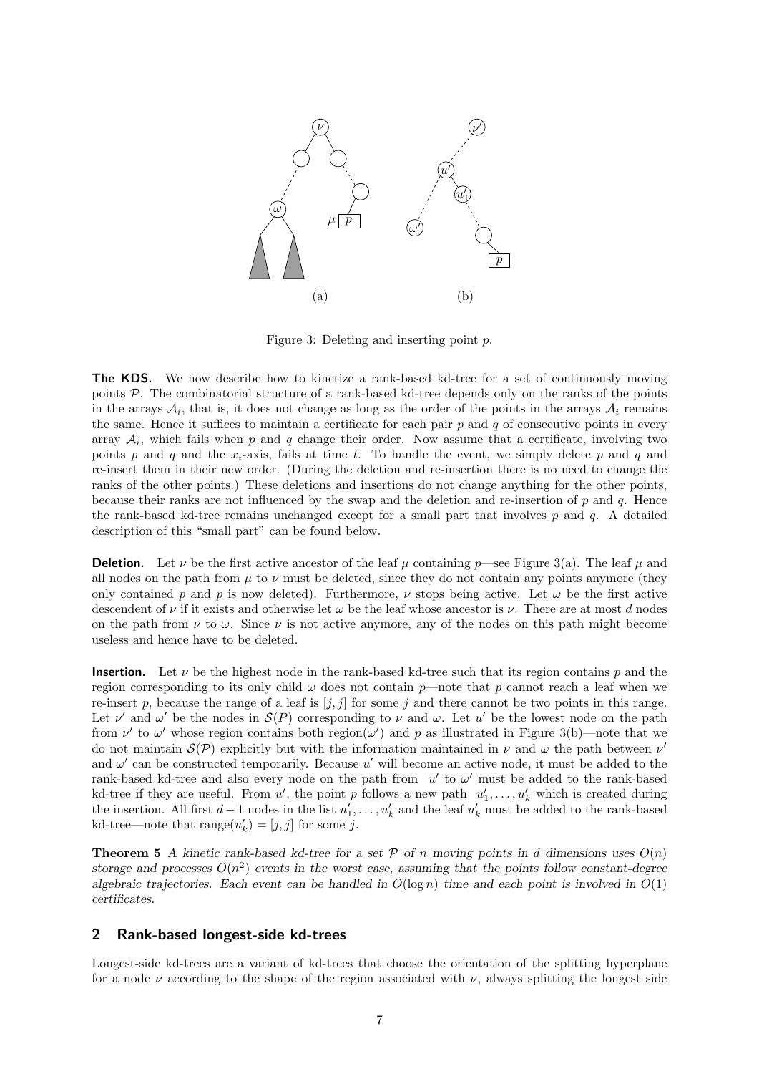

Figure 3: Deleting and inserting point p.

The KDS. We now describe how to kinetize a rank-based kd-tree for a set of continuously moving points  $P$ . The combinatorial structure of a rank-based kd-tree depends only on the ranks of the points in the arrays  $A_i$ , that is, it does not change as long as the order of the points in the arrays  $A_i$  remains the same. Hence it suffices to maintain a certificate for each pair  $p$  and  $q$  of consecutive points in every array  $A_i$ , which fails when p and q change their order. Now assume that a certificate, involving two points p and q and the  $x_i$ -axis, fails at time t. To handle the event, we simply delete p and q and re-insert them in their new order. (During the deletion and re-insertion there is no need to change the ranks of the other points.) These deletions and insertions do not change anything for the other points, because their ranks are not influenced by the swap and the deletion and re-insertion of  $p$  and  $q$ . Hence the rank-based kd-tree remains unchanged except for a small part that involves  $p$  and  $q$ . A detailed description of this "small part" can be found below.

**Deletion.** Let  $\nu$  be the first active ancestor of the leaf  $\mu$  containing  $p$ —see Figure 3(a). The leaf  $\mu$  and all nodes on the path from  $\mu$  to  $\nu$  must be deleted, since they do not contain any points anymore (they only contained p and p is now deleted). Furthermore,  $\nu$  stops being active. Let  $\omega$  be the first active descendent of  $\nu$  if it exists and otherwise let  $\omega$  be the leaf whose ancestor is  $\nu$ . There are at most d nodes on the path from  $\nu$  to  $\omega$ . Since  $\nu$  is not active anymore, any of the nodes on this path might become useless and hence have to be deleted.

**Insertion.** Let  $\nu$  be the highest node in the rank-based kd-tree such that its region contains p and the region corresponding to its only child  $\omega$  does not contain p—note that p cannot reach a leaf when we re-insert p, because the range of a leaf is  $[j, j]$  for some j and there cannot be two points in this range. Let  $\nu'$  and  $\omega'$  be the nodes in  $\mathcal{S}(P)$  corresponding to  $\nu$  and  $\omega$ . Let  $u'$  be the lowest node on the path from  $\nu'$  to  $\omega'$  whose region contains both region( $\omega'$ ) and p as illustrated in Figure 3(b)—note that we do not maintain  $\mathcal{S}(\mathcal{P})$  explicitly but with the information maintained in  $\nu$  and  $\omega$  the path between  $\nu'$ and  $\omega'$  can be constructed temporarily. Because u' will become an active node, it must be added to the rank-based kd-tree and also every node on the path from  $u'$  to  $\omega'$  must be added to the rank-based kd-tree if they are useful. From u', the point p follows a new path  $u'_1, \ldots, u'_k$  which is created during the insertion. All first  $d-1$  nodes in the list  $u'_1, \ldots, u'_k$  and the leaf  $u'_k$  must be added to the rank-based kd-tree—note that  $\text{range}(u'_k) = [j, j]$  for some j.

**Theorem 5** A kinetic rank-based kd-tree for a set  $P$  of n moving points in d dimensions uses  $O(n)$ storage and processes  $O(n^2)$  events in the worst case, assuming that the points follow constant-degree algebraic trajectories. Each event can be handled in  $O(\log n)$  time and each point is involved in  $O(1)$ certificates.

## 2 Rank-based longest-side kd-trees

Longest-side kd-trees are a variant of kd-trees that choose the orientation of the splitting hyperplane for a node  $\nu$  according to the shape of the region associated with  $\nu$ , always splitting the longest side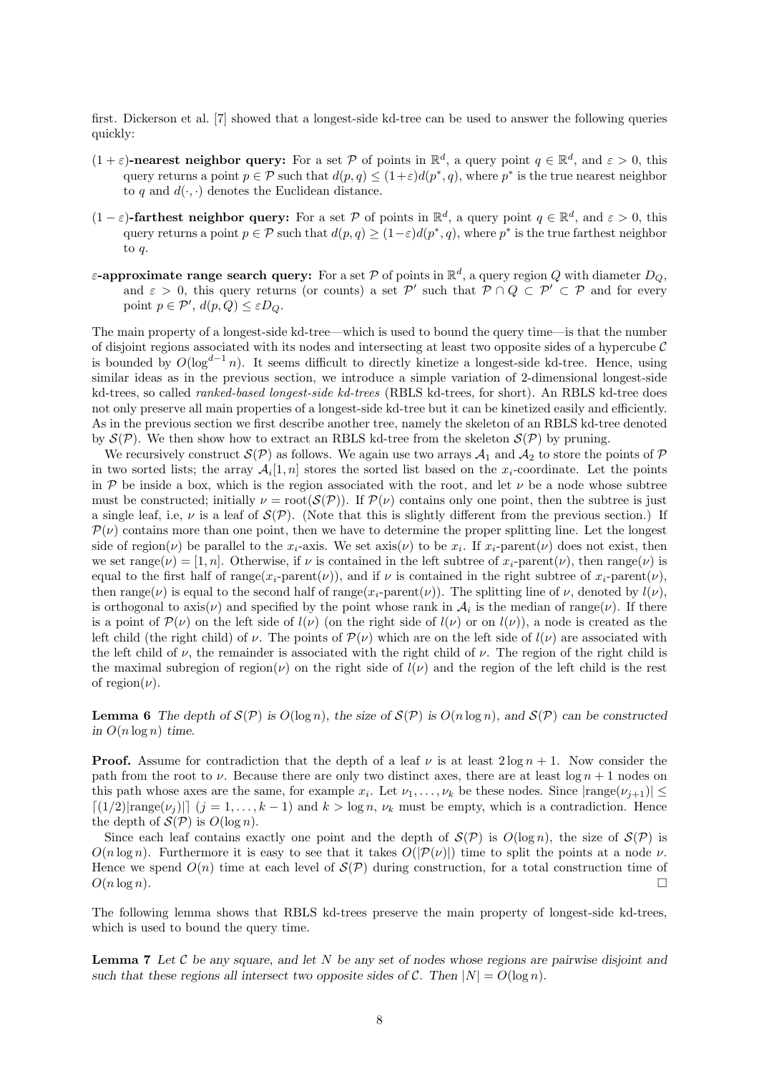first. Dickerson et al. [7] showed that a longest-side kd-tree can be used to answer the following queries quickly:

- $(1+\varepsilon)$ -nearest neighbor query: For a set P of points in  $\mathbb{R}^d$ , a query point  $q \in \mathbb{R}^d$ , and  $\varepsilon > 0$ , this query returns a point  $p \in \mathcal{P}$  such that  $d(p, q) \leq (1+\varepsilon)d(p^*, q)$ , where  $p^*$  is the true nearest neighbor to q and  $d(\cdot, \cdot)$  denotes the Euclidean distance.
- $(1-\varepsilon)$ -farthest neighbor query: For a set P of points in  $\mathbb{R}^d$ , a query point  $q \in \mathbb{R}^d$ , and  $\varepsilon > 0$ , this query returns a point  $p \in \mathcal{P}$  such that  $d(p, q) \geq (1 - \varepsilon) d(p^*, q)$ , where  $p^*$  is the true farthest neighbor to q.
- $\varepsilon$ -approximate range search query: For a set  ${\cal P}$  of points in  $\mathbb{R}^d$ , a query region  $Q$  with diameter  $D_Q$ , and  $\varepsilon > 0$ , this query returns (or counts) a set  $\mathcal{P}'$  such that  $\mathcal{P} \cap Q \subset \mathcal{P}' \subset \mathcal{P}$  and for every point  $p \in \mathcal{P}'$ ,  $d(p, Q) \leq \varepsilon D_Q$ .

The main property of a longest-side kd-tree—which is used to bound the query time—is that the number of disjoint regions associated with its nodes and intersecting at least two opposite sides of a hypercube  $\mathcal C$ is bounded by  $O(\log^{d-1} n)$ . It seems difficult to directly kinetize a longest-side kd-tree. Hence, using similar ideas as in the previous section, we introduce a simple variation of 2-dimensional longest-side kd-trees, so called ranked-based longest-side kd-trees (RBLS kd-trees, for short). An RBLS kd-tree does not only preserve all main properties of a longest-side kd-tree but it can be kinetized easily and efficiently. As in the previous section we first describe another tree, namely the skeleton of an RBLS kd-tree denoted by  $S(\mathcal{P})$ . We then show how to extract an RBLS kd-tree from the skeleton  $S(\mathcal{P})$  by pruning.

We recursively construct  $\mathcal{S}(\mathcal{P})$  as follows. We again use two arrays  $\mathcal{A}_1$  and  $\mathcal{A}_2$  to store the points of  $\mathcal P$ in two sorted lists; the array  $A_i[1,n]$  stores the sorted list based on the  $x_i$ -coordinate. Let the points in P be inside a box, which is the region associated with the root, and let  $\nu$  be a node whose subtree must be constructed; initially  $\nu = \text{root}(\mathcal{S}(\mathcal{P}))$ . If  $\mathcal{P}(\nu)$  contains only one point, then the subtree is just a single leaf, i.e.  $\nu$  is a leaf of  $S(\mathcal{P})$ . (Note that this is slightly different from the previous section.) If  $\mathcal{P}(\nu)$  contains more than one point, then we have to determine the proper splitting line. Let the longest side of region( $\nu$ ) be parallel to the  $x_i$ -axis. We set axis( $\nu$ ) to be  $x_i$ . If  $x_i$ -parent( $\nu$ ) does not exist, then we set  $range(\nu) = [1, n]$ . Otherwise, if  $\nu$  is contained in the left subtree of  $x_i$ -parent $(\nu)$ , then range $(\nu)$  is equal to the first half of range $(x_i$ -parent $(\nu)$ , and if  $\nu$  is contained in the right subtree of  $x_i$ -parent $(\nu)$ , then range( $\nu$ ) is equal to the second half of range( $x_i$ -parent( $\nu$ )). The splitting line of  $\nu$ , denoted by  $l(\nu)$ , is orthogonal to  $axis(\nu)$  and specified by the point whose rank in  $\mathcal{A}_i$  is the median of range $(\nu)$ . If there is a point of  $\mathcal{P}(\nu)$  on the left side of  $l(\nu)$  (on the right side of  $l(\nu)$  or on  $l(\nu)$ ), a node is created as the left child (the right child) of  $\nu$ . The points of  $\mathcal{P}(\nu)$  which are on the left side of  $l(\nu)$  are associated with the left child of  $\nu$ , the remainder is associated with the right child of  $\nu$ . The region of the right child is the maximal subregion of region( $\nu$ ) on the right side of  $l(\nu)$  and the region of the left child is the rest of region $(\nu)$ .

**Lemma 6** The depth of  $\mathcal{S}(\mathcal{P})$  is  $O(\log n)$ , the size of  $\mathcal{S}(\mathcal{P})$  is  $O(n \log n)$ , and  $\mathcal{S}(\mathcal{P})$  can be constructed in  $O(n \log n)$  time.

**Proof.** Assume for contradiction that the depth of a leaf  $\nu$  is at least  $2 \log n + 1$ . Now consider the path from the root to  $\nu$ . Because there are only two distinct axes, there are at least  $\log n + 1$  nodes on this path whose axes are the same, for example  $x_i$ . Let  $\nu_1, \ldots, \nu_k$  be these nodes. Since  $|\text{range}(\nu_{j+1})| \leq$  $\lceil (1/2) \rceil \text{range}(\nu_i) \rceil$   $(j = 1, \ldots, k - 1)$  and  $k > \log n$ ,  $\nu_k$  must be empty, which is a contradiction. Hence the depth of  $\mathcal{S}(\mathcal{P})$  is  $O(\log n)$ .

Since each leaf contains exactly one point and the depth of  $S(\mathcal{P})$  is  $O(\log n)$ , the size of  $S(\mathcal{P})$  is  $O(n \log n)$ . Furthermore it is easy to see that it takes  $O(|\mathcal{P}(\nu)|)$  time to split the points at a node  $\nu$ . Hence we spend  $O(n)$  time at each level of  $S(\mathcal{P})$  during construction, for a total construction time of  $O(n \log n)$ .

The following lemma shows that RBLS kd-trees preserve the main property of longest-side kd-trees, which is used to bound the query time.

**Lemma 7** Let C be any square, and let N be any set of nodes whose regions are pairwise disjoint and such that these regions all intersect two opposite sides of C. Then  $|N| = O(\log n)$ .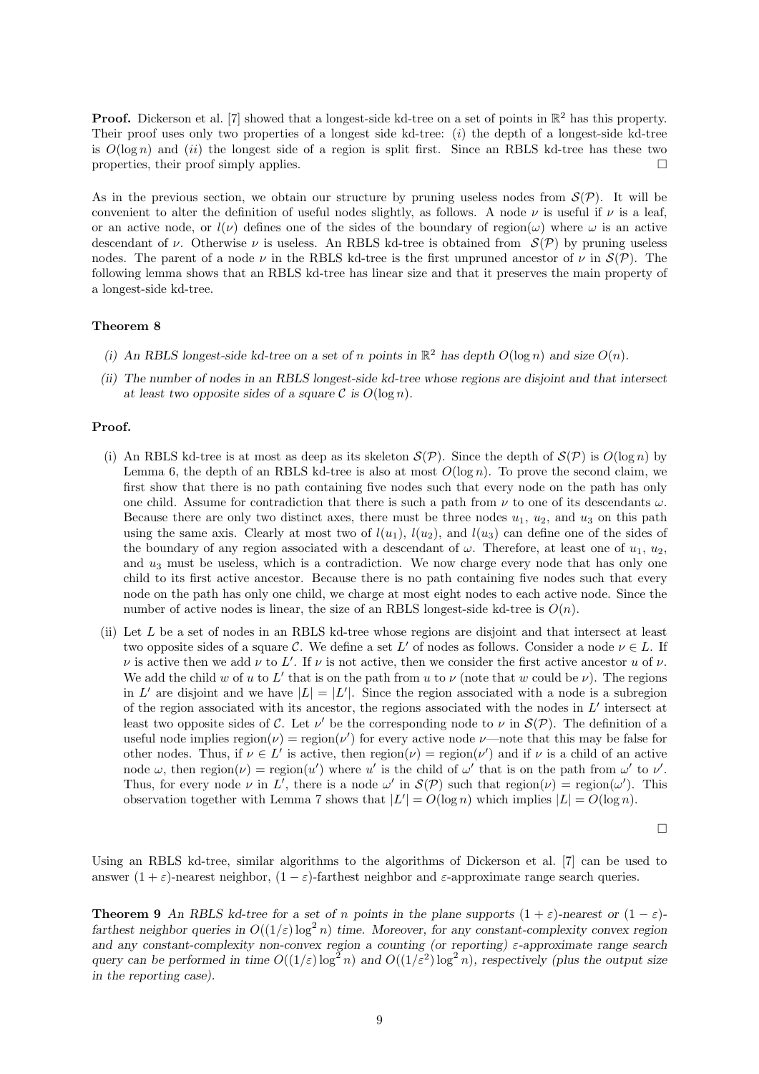**Proof.** Dickerson et al. [7] showed that a longest-side kd-tree on a set of points in  $\mathbb{R}^2$  has this property. Their proof uses only two properties of a longest side kd-tree:  $(i)$  the depth of a longest-side kd-tree is  $O(\log n)$  and (ii) the longest side of a region is split first. Since an RBLS kd-tree has these two properties, their proof simply applies.  $\Box$ 

As in the previous section, we obtain our structure by pruning useless nodes from  $\mathcal{S}(\mathcal{P})$ . It will be convenient to alter the definition of useful nodes slightly, as follows. A node  $\nu$  is useful if  $\nu$  is a leaf, or an active node, or  $l(\nu)$  defines one of the sides of the boundary of region( $\omega$ ) where  $\omega$  is an active descendant of  $\nu$ . Otherwise  $\nu$  is useless. An RBLS kd-tree is obtained from  $\mathcal{S}(\mathcal{P})$  by pruning useless nodes. The parent of a node  $\nu$  in the RBLS kd-tree is the first unpruned ancestor of  $\nu$  in  $\mathcal{S}(\mathcal{P})$ . The following lemma shows that an RBLS kd-tree has linear size and that it preserves the main property of a longest-side kd-tree.

# Theorem 8

- (i) An RBLS longest-side kd-tree on a set of n points in  $\mathbb{R}^2$  has depth  $O(\log n)$  and size  $O(n)$ .
- (ii) The number of nodes in an RBLS longest-side kd-tree whose regions are disjoint and that intersect at least two opposite sides of a square  $\mathcal C$  is  $O(\log n)$ .

# Proof.

- (i) An RBLS kd-tree is at most as deep as its skeleton  $\mathcal{S}(\mathcal{P})$ . Since the depth of  $\mathcal{S}(\mathcal{P})$  is  $O(\log n)$  by Lemma 6, the depth of an RBLS kd-tree is also at most  $O(\log n)$ . To prove the second claim, we first show that there is no path containing five nodes such that every node on the path has only one child. Assume for contradiction that there is such a path from  $\nu$  to one of its descendants  $\omega$ . Because there are only two distinct axes, there must be three nodes  $u_1, u_2$ , and  $u_3$  on this path using the same axis. Clearly at most two of  $l(u_1), l(u_2),$  and  $l(u_3)$  can define one of the sides of the boundary of any region associated with a descendant of  $\omega$ . Therefore, at least one of  $u_1, u_2$ , and  $u_3$  must be useless, which is a contradiction. We now charge every node that has only one child to its first active ancestor. Because there is no path containing five nodes such that every node on the path has only one child, we charge at most eight nodes to each active node. Since the number of active nodes is linear, the size of an RBLS longest-side kd-tree is  $O(n)$ .
- (ii) Let L be a set of nodes in an RBLS kd-tree whose regions are disjoint and that intersect at least two opposite sides of a square C. We define a set L' of nodes as follows. Consider a node  $\nu \in L$ . If  $\nu$  is active then we add  $\nu$  to L'. If  $\nu$  is not active, then we consider the first active ancestor u of  $\nu$ . We add the child w of u to L' that is on the path from u to  $\nu$  (note that w could be  $\nu$ ). The regions in L' are disjoint and we have  $|L| = |L'|$ . Since the region associated with a node is a subregion of the region associated with its ancestor, the regions associated with the nodes in  $L'$  intersect at least two opposite sides of C. Let  $\nu'$  be the corresponding node to  $\nu$  in  $S(\mathcal{P})$ . The definition of a useful node implies  $\text{region}(\nu) = \text{region}(\nu')$  for every active node  $\nu$ —note that this may be false for other nodes. Thus, if  $\nu \in L'$  is active, then  $\text{region}(\nu) = \text{region}(\nu')$  and if  $\nu$  is a child of an active node  $\omega$ , then region( $\nu$ ) = region( $u'$ ) where  $u'$  is the child of  $\omega'$  that is on the path from  $\omega'$  to  $\nu'$ . Thus, for every node  $\nu$  in L', there is a node  $\omega'$  in  $\mathcal{S}(\mathcal{P})$  such that region $(\nu)$  = region $(\omega')$ . This observation together with Lemma 7 shows that  $|L'| = O(\log n)$  which implies  $|L| = O(\log n)$ .

$$
\Box
$$

Using an RBLS kd-tree, similar algorithms to the algorithms of Dickerson et al. [7] can be used to answer  $(1 + \varepsilon)$ -nearest neighbor,  $(1 - \varepsilon)$ -farthest neighbor and  $\varepsilon$ -approximate range search queries.

**Theorem 9** An RBLS kd-tree for a set of n points in the plane supports  $(1 + \varepsilon)$ -nearest or  $(1 - \varepsilon)$ farthest neighbor queries in  $O((1/\varepsilon)\log^2 n)$  time. Moreover, for any constant-complexity convex region and any constant-complexity non-convex region a counting (or reporting)  $\varepsilon$ -approximate range search query can be performed in time  $O((1/\varepsilon) \log^2 n)$  and  $O((1/\varepsilon^2) \log^2 n)$ , respectively (plus the output size in the reporting case).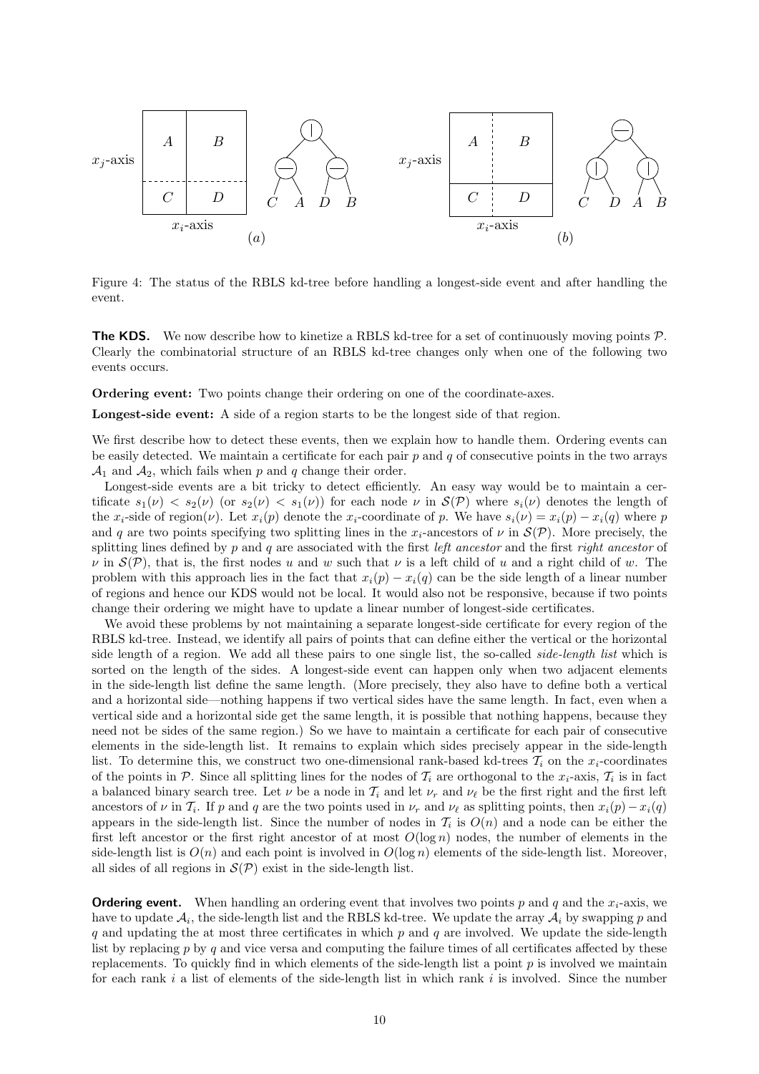

Figure 4: The status of the RBLS kd-tree before handling a longest-side event and after handling the event.

**The KDS.** We now describe how to kinetize a RBLS kd-tree for a set of continuously moving points  $\mathcal{P}$ . Clearly the combinatorial structure of an RBLS kd-tree changes only when one of the following two events occurs.

Ordering event: Two points change their ordering on one of the coordinate-axes.

Longest-side event: A side of a region starts to be the longest side of that region.

We first describe how to detect these events, then we explain how to handle them. Ordering events can be easily detected. We maintain a certificate for each pair  $p$  and  $q$  of consecutive points in the two arrays  $\mathcal{A}_1$  and  $\mathcal{A}_2$ , which fails when p and q change their order.

Longest-side events are a bit tricky to detect efficiently. An easy way would be to maintain a certificate  $s_1(\nu) < s_2(\nu)$  (or  $s_2(\nu) < s_1(\nu)$ ) for each node  $\nu$  in  $\mathcal{S}(\mathcal{P})$  where  $s_i(\nu)$  denotes the length of the  $x_i$ -side of region( $\nu$ ). Let  $x_i(p)$  denote the  $x_i$ -coordinate of p. We have  $s_i(\nu) = x_i(p) - x_i(q)$  where p and q are two points specifying two splitting lines in the  $x_i$ -ancestors of  $\nu$  in  $S(\mathcal{P})$ . More precisely, the splitting lines defined by  $p$  and  $q$  are associated with the first left ancestor and the first right ancestor of  $\nu$  in  $\mathcal{S}(\mathcal{P})$ , that is, the first nodes u and w such that  $\nu$  is a left child of u and a right child of w. The problem with this approach lies in the fact that  $x_i(p) - x_i(q)$  can be the side length of a linear number of regions and hence our KDS would not be local. It would also not be responsive, because if two points change their ordering we might have to update a linear number of longest-side certificates.

We avoid these problems by not maintaining a separate longest-side certificate for every region of the RBLS kd-tree. Instead, we identify all pairs of points that can define either the vertical or the horizontal side length of a region. We add all these pairs to one single list, the so-called *side-length list* which is sorted on the length of the sides. A longest-side event can happen only when two adjacent elements in the side-length list define the same length. (More precisely, they also have to define both a vertical and a horizontal side—nothing happens if two vertical sides have the same length. In fact, even when a vertical side and a horizontal side get the same length, it is possible that nothing happens, because they need not be sides of the same region.) So we have to maintain a certificate for each pair of consecutive elements in the side-length list. It remains to explain which sides precisely appear in the side-length list. To determine this, we construct two one-dimensional rank-based kd-trees  $\mathcal{T}_i$  on the  $x_i$ -coordinates of the points in  $\mathcal{P}$ . Since all splitting lines for the nodes of  $\mathcal{T}_i$  are orthogonal to the  $x_i$ -axis,  $\mathcal{T}_i$  is in fact a balanced binary search tree. Let  $\nu$  be a node in  $\mathcal{T}_i$  and let  $\nu_r$  and  $\nu_\ell$  be the first right and the first left ancestors of  $\nu$  in  $\mathcal{T}_i$ . If p and q are the two points used in  $\nu_r$  and  $\nu_\ell$  as splitting points, then  $x_i(p) - x_i(q)$ appears in the side-length list. Since the number of nodes in  $\mathcal{T}_i$  is  $O(n)$  and a node can be either the first left ancestor or the first right ancestor of at most  $O(\log n)$  nodes, the number of elements in the side-length list is  $O(n)$  and each point is involved in  $O(\log n)$  elements of the side-length list. Moreover, all sides of all regions in  $\mathcal{S}(\mathcal{P})$  exist in the side-length list.

**Ordering event.** When handling an ordering event that involves two points p and q and the  $x_i$ -axis, we have to update  $A_i$ , the side-length list and the RBLS kd-tree. We update the array  $A_i$  by swapping p and q and updating the at most three certificates in which  $p$  and  $q$  are involved. We update the side-length list by replacing  $p$  by  $q$  and vice versa and computing the failure times of all certificates affected by these replacements. To quickly find in which elements of the side-length list a point  $p$  is involved we maintain for each rank  $i$  a list of elements of the side-length list in which rank  $i$  is involved. Since the number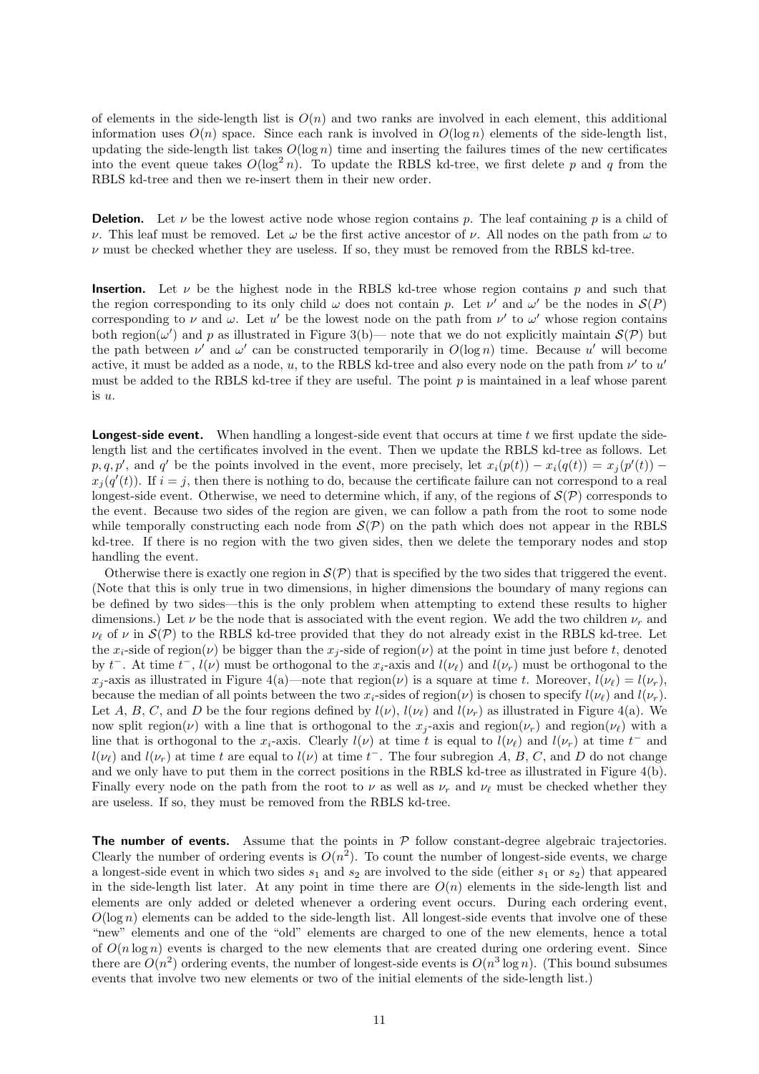of elements in the side-length list is  $O(n)$  and two ranks are involved in each element, this additional information uses  $O(n)$  space. Since each rank is involved in  $O(\log n)$  elements of the side-length list, updating the side-length list takes  $O(\log n)$  time and inserting the failures times of the new certificates into the event queue takes  $O(\log^2 n)$ . To update the RBLS kd-tree, we first delete p and q from the RBLS kd-tree and then we re-insert them in their new order.

**Deletion.** Let  $\nu$  be the lowest active node whose region contains p. The leaf containing p is a child of ν. This leaf must be removed. Let ω be the first active ancestor of ν. All nodes on the path from ω to  $\nu$  must be checked whether they are useless. If so, they must be removed from the RBLS kd-tree.

**Insertion.** Let  $\nu$  be the highest node in the RBLS kd-tree whose region contains p and such that the region corresponding to its only child  $\omega$  does not contain p. Let  $\nu'$  and  $\omega'$  be the nodes in  $\mathcal{S}(P)$ corresponding to  $\nu$  and  $\omega$ . Let u' be the lowest node on the path from  $\nu'$  to  $\omega'$  whose region contains both region( $\omega'$ ) and p as illustrated in Figure 3(b)— note that we do not explicitly maintain  $\mathcal{S}(\mathcal{P})$  but the path between  $\nu'$  and  $\omega'$  can be constructed temporarily in  $O(\log n)$  time. Because u' will become active, it must be added as a node, u, to the RBLS kd-tree and also every node on the path from  $\nu'$  to  $u'$ must be added to the RBLS kd-tree if they are useful. The point  $p$  is maintained in a leaf whose parent is u.

**Longest-side event.** When handling a longest-side event that occurs at time  $t$  we first update the sidelength list and the certificates involved in the event. Then we update the RBLS kd-tree as follows. Let  $p, q, p'$ , and q' be the points involved in the event, more precisely, let  $x_i(p(t)) - x_i(q(t)) = x_j(p'(t))$  $x_j(q'(t))$ . If  $i = j$ , then there is nothing to do, because the certificate failure can not correspond to a real longest-side event. Otherwise, we need to determine which, if any, of the regions of  $\mathcal{S}(\mathcal{P})$  corresponds to the event. Because two sides of the region are given, we can follow a path from the root to some node while temporally constructing each node from  $\mathcal{S}(\mathcal{P})$  on the path which does not appear in the RBLS kd-tree. If there is no region with the two given sides, then we delete the temporary nodes and stop handling the event.

Otherwise there is exactly one region in  $\mathcal{S}(\mathcal{P})$  that is specified by the two sides that triggered the event. (Note that this is only true in two dimensions, in higher dimensions the boundary of many regions can be defined by two sides—this is the only problem when attempting to extend these results to higher dimensions.) Let  $\nu$  be the node that is associated with the event region. We add the two children  $\nu_r$  and  $\nu_{\ell}$  of  $\nu$  in  $\mathcal{S}(\mathcal{P})$  to the RBLS kd-tree provided that they do not already exist in the RBLS kd-tree. Let the  $x_i$ -side of region( $\nu$ ) be bigger than the  $x_i$ -side of region( $\nu$ ) at the point in time just before t, denoted by  $t^-$ . At time  $t^-$ ,  $l(\nu)$  must be orthogonal to the  $x_i$ -axis and  $l(\nu_\ell)$  and  $l(\nu_r)$  must be orthogonal to the  $x_i$ -axis as illustrated in Figure 4(a)—note that region(v) is a square at time t. Moreover,  $l(\nu_f) = l(\nu_r)$ , because the median of all points between the two  $x_i$ -sides of region( $\nu$ ) is chosen to specify  $l(\nu_\ell)$  and  $l(\nu_r)$ . Let A, B, C, and D be the four regions defined by  $l(\nu)$ ,  $l(\nu_f)$  and  $l(\nu_r)$  as illustrated in Figure 4(a). We now split region( $\nu$ ) with a line that is orthogonal to the  $x_i$ -axis and region( $\nu_r$ ) and region( $\nu_\ell$ ) with a line that is orthogonal to the x<sub>i</sub>-axis. Clearly  $l(\nu)$  at time t is equal to  $l(\nu_{\ell})$  and  $l(\nu_r)$  at time t<sup>-</sup> and  $l(\nu_\ell)$  and  $l(\nu_r)$  at time t are equal to  $l(\nu)$  at time t<sup>-</sup>. The four subregion A, B, C, and D do not change and we only have to put them in the correct positions in the RBLS kd-tree as illustrated in Figure 4(b). Finally every node on the path from the root to  $\nu$  as well as  $\nu_r$  and  $\nu_\ell$  must be checked whether they are useless. If so, they must be removed from the RBLS kd-tree.

The number of events. Assume that the points in  $P$  follow constant-degree algebraic trajectories. Clearly the number of ordering events is  $O(n^2)$ . To count the number of longest-side events, we charge a longest-side event in which two sides  $s_1$  and  $s_2$  are involved to the side (either  $s_1$  or  $s_2$ ) that appeared in the side-length list later. At any point in time there are  $O(n)$  elements in the side-length list and elements are only added or deleted whenever a ordering event occurs. During each ordering event,  $O(\log n)$  elements can be added to the side-length list. All longest-side events that involve one of these "new" elements and one of the "old" elements are charged to one of the new elements, hence a total of  $O(n \log n)$  events is charged to the new elements that are created during one ordering event. Since there are  $O(n^2)$  ordering events, the number of longest-side events is  $O(n^3 \log n)$ . (This bound subsumes events that involve two new elements or two of the initial elements of the side-length list.)